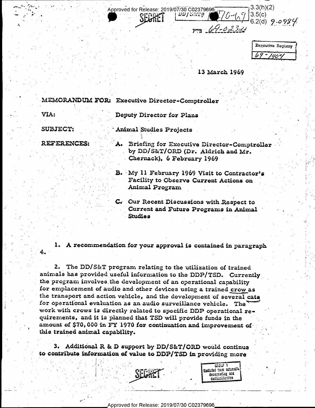$3.3(h)(2)$ Approved for Release: 2019/07/30 C02379696- $3.5(c)$ **DD/3念1茶** 6.2(d)  $9 - 0984$  $p_{pp}$   $(09 - 0232)$ 

| Executive Registry |
|--------------------|
| יננ                |

13 March 1969

GROUP 1 Excluded from automati downgrading and declassification

MEMORANDUM FOR: Executive Director-Comptroller

VIA:

 $4.$ 

Deputy Director for Plans

SUBJECT:

Animal Studies Projects

**REFERENCES:** 

- A. Briefing for Executive Director-Comptroller by DD/S&T/ORD (Dr. Aldrich and Mr. Chernack), 6 February 1969
- B. My 11 February 1969 Visit to Contractor's Facility to Observe Current Actions on Animal Program
- C. Our Recent Discussions with Respect to Current and Future Programs in Animal **Studies**

1. A recommendation for your approval is contained in paragraph

2. The DD/S&T program relating to the utilization of trained animals has provided useful information to the DDP/TSD. Currently the program involves the development of an operational capability for emplacement of audio and other devices using a trained crow as the transport and action vehicle, and the development of several cata for operational evaluation as an audio surveillance vehicle. The work with crows is directly related to specific DDP operational requirements, and it is planned that TSD will provide funds in the amount of \$70,000 in FY 1970 for continuation and improvement of this trained animal capability.

3. Additional R & D support by DD/S&T/ORD would continue to contribute information of value to DDP/TSD in providing more